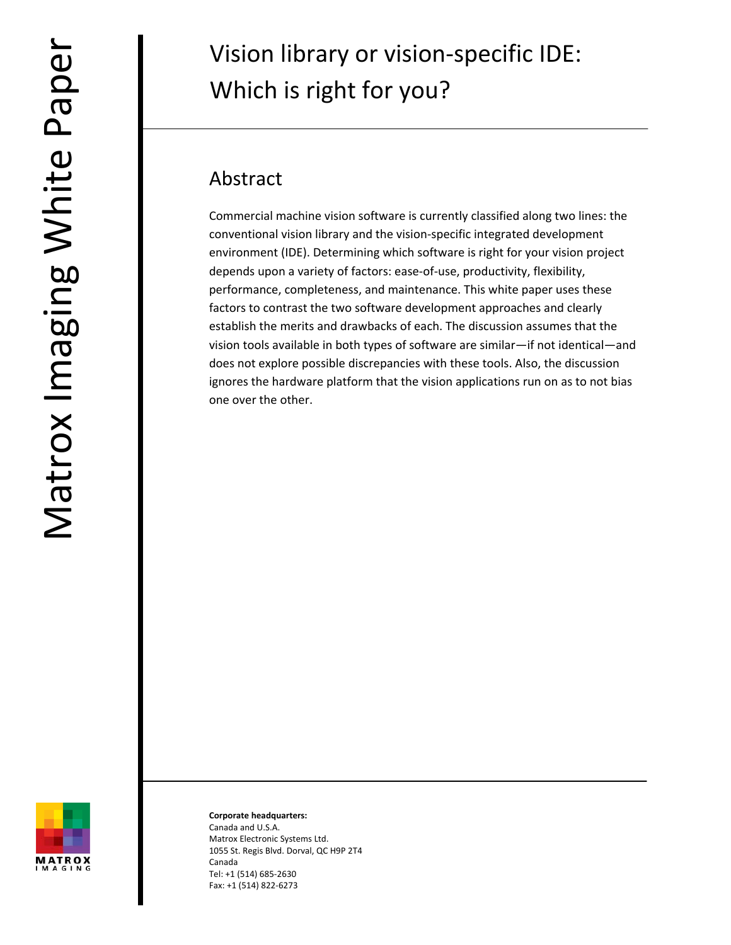# Vision library or vision‐specific IDE: Which is right for you?

# Abstract

Commercial machine vision software is currently classified along two lines: the conventional vision library and the vision‐specific integrated development environment (IDE). Determining which software is right for your vision project depends upon a variety of factors: ease‐of‐use, productivity, flexibility, performance, completeness, and maintenance. This white paper uses these factors to contrast the two software development approaches and clearly establish the merits and drawbacks of each. The discussion assumes that the vision tools available in both types of software are similar—if not identical—and does not explore possible discrepancies with these tools. Also, the discussion ignores the hardware platform that the vision applications run on as to not bias one over the other.



**Corporate headquarters:** Canada and U.S.A. Matrox Electronic Systems Ltd. 1055 St. Regis Blvd. Dorval, QC H9P 2T4 Canada Tel: +1 (514) 685‐2630 Fax: +1 (514) 822‐6273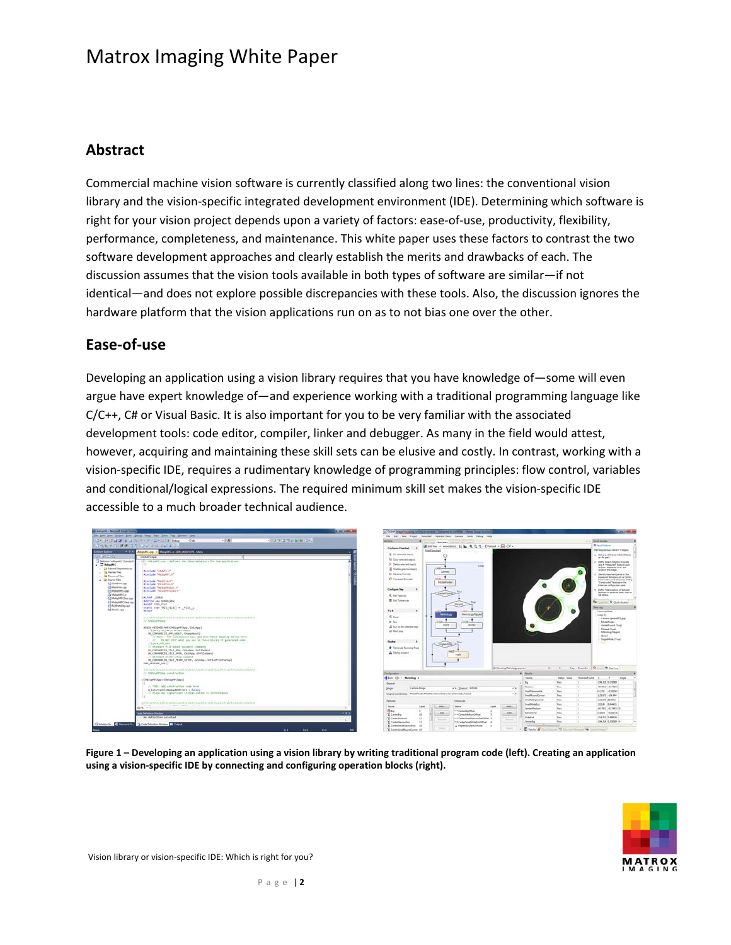#### **Abstract**

Commercial machine vision software is currently classified along two lines: the conventional vision library and the vision‐specific integrated development environment (IDE). Determining which software is right for your vision project depends upon a variety of factors: ease‐of‐use, productivity, flexibility, performance, completeness, and maintenance. This white paper uses these factors to contrast the two software development approaches and clearly establish the merits and drawbacks of each. The discussion assumes that the vision tools available in both types of software are similar—if not identical—and does not explore possible discrepancies with these tools. Also, the discussion ignores the hardware platform that the vision applications run on as to not bias one over the other.

#### **Ease‐of‐use**

Developing an application using a vision library requires that you have knowledge of—some will even argue have expert knowledge of—and experience working with a traditional programming language like C/C++, C# or Visual Basic. It is also important for you to be very familiar with the associated development tools: code editor, compiler, linker and debugger. As many in the field would attest, however, acquiring and maintaining these skill sets can be elusive and costly. In contrast, working with a vision‐specific IDE, requires a rudimentary knowledge of programming principles: flow control, variables and conditional/logical expressions. The required minimum skill set makes the vision‐specific IDE accessible to a much broader technical audience.



Figure 1 – Developing an application using a vision library by writing traditional program code (left). Creating an application **using a vision‐specific IDE by connecting and configuring operation blocks (right).** 



Vision library or vision‐specific IDE: Which is right for you?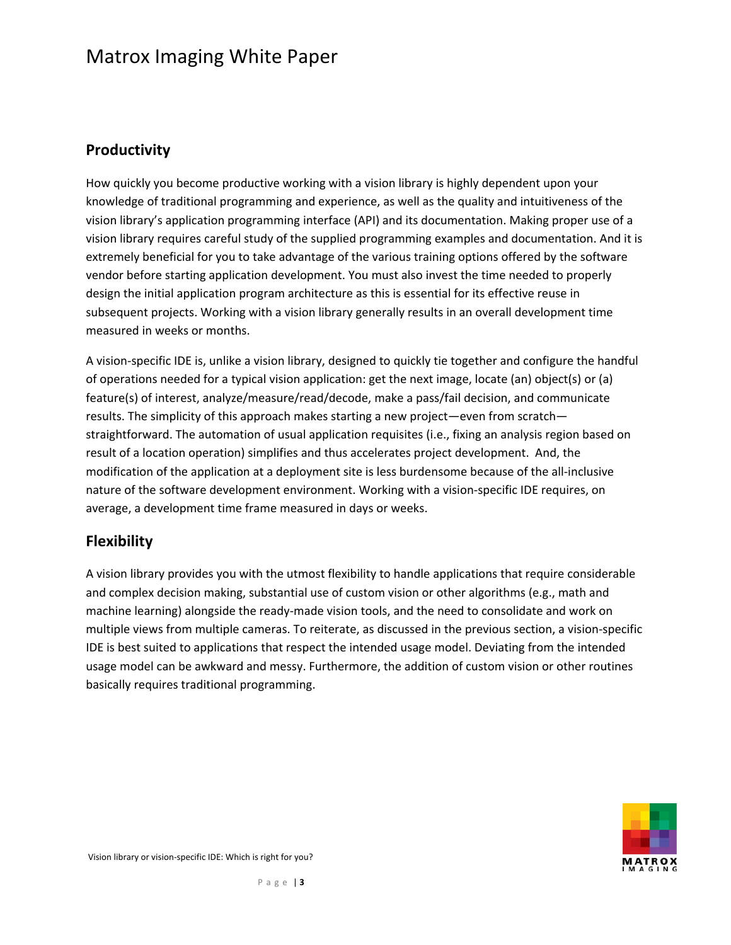#### **Productivity**

How quickly you become productive working with a vision library is highly dependent upon your knowledge of traditional programming and experience, as well as the quality and intuitiveness of the vision library's application programming interface (API) and its documentation. Making proper use of a vision library requires careful study of the supplied programming examples and documentation. And it is extremely beneficial for you to take advantage of the various training options offered by the software vendor before starting application development. You must also invest the time needed to properly design the initial application program architecture as this is essential for its effective reuse in subsequent projects. Working with a vision library generally results in an overall development time measured in weeks or months.

A vision‐specific IDE is, unlike a vision library, designed to quickly tie together and configure the handful of operations needed for a typical vision application: get the next image, locate (an) object(s) or (a) feature(s) of interest, analyze/measure/read/decode, make a pass/fail decision, and communicate results. The simplicity of this approach makes starting a new project—even from scratch straightforward. The automation of usual application requisites (i.e., fixing an analysis region based on result of a location operation) simplifies and thus accelerates project development. And, the modification of the application at a deployment site is less burdensome because of the all‐inclusive nature of the software development environment. Working with a vision-specific IDE requires, on average, a development time frame measured in days or weeks.

#### **Flexibility**

A vision library provides you with the utmost flexibility to handle applications that require considerable and complex decision making, substantial use of custom vision or other algorithms (e.g., math and machine learning) alongside the ready‐made vision tools, and the need to consolidate and work on multiple views from multiple cameras. To reiterate, as discussed in the previous section, a vision‐specific IDE is best suited to applications that respect the intended usage model. Deviating from the intended usage model can be awkward and messy. Furthermore, the addition of custom vision or other routines basically requires traditional programming.

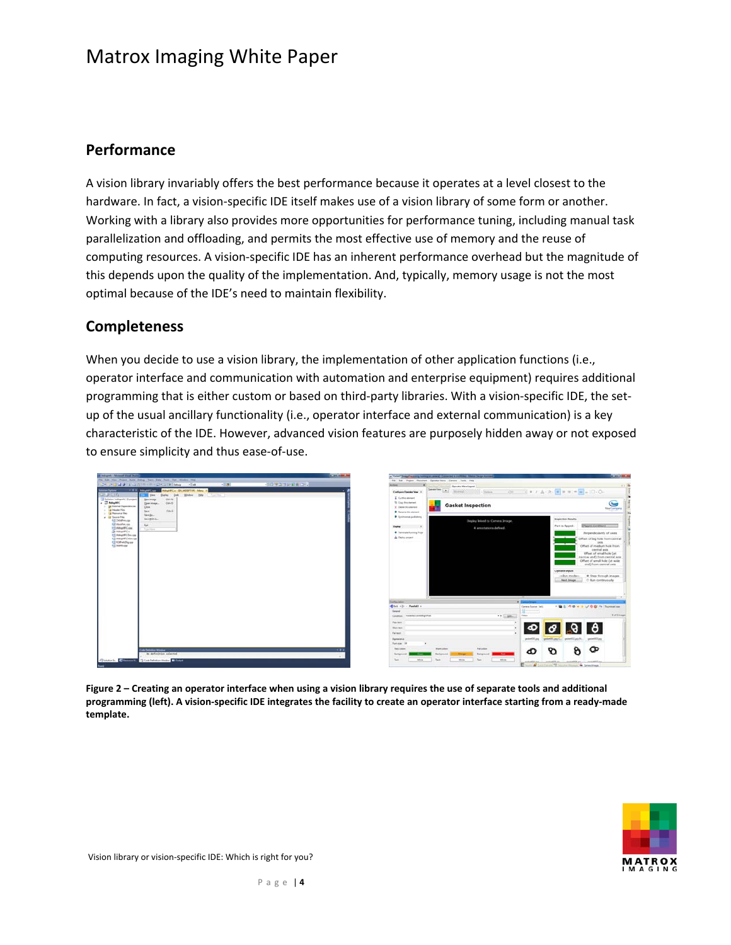#### **Performance**

A vision library invariably offers the best performance because it operates at a level closest to the hardware. In fact, a vision-specific IDE itself makes use of a vision library of some form or another. Working with a library also provides more opportunities for performance tuning, including manual task parallelization and offloading, and permits the most effective use of memory and the reuse of computing resources. A vision‐specific IDE has an inherent performance overhead but the magnitude of this depends upon the quality of the implementation. And, typically, memory usage is not the most optimal because of the IDE's need to maintain flexibility.

#### **Completeness**

When you decide to use a vision library, the implementation of other application functions (i.e., operator interface and communication with automation and enterprise equipment) requires additional programming that is either custom or based on third‐party libraries. With a vision‐specific IDE, the set‐ up of the usual ancillary functionality (i.e., operator interface and external communication) is a key characteristic of the IDE. However, advanced vision features are purposely hidden away or not exposed to ensure simplicity and thus ease‐of‐use.





Figure 2 - Creating an operator interface when using a vision library requires the use of separate tools and additional programming (left). A vision-specific IDE integrates the facility to create an operator interface starting from a ready-made **template.**